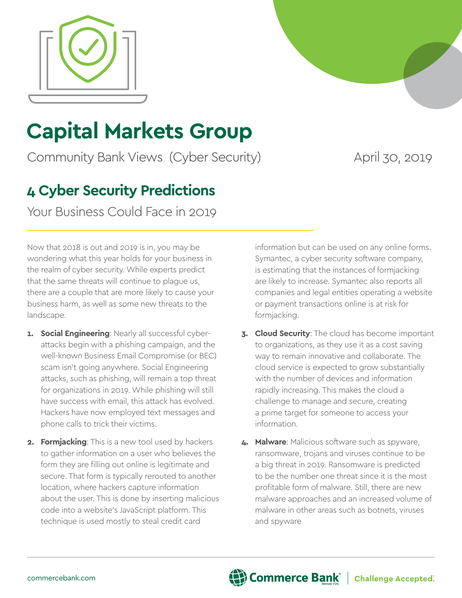

# **Capital Markets Group**

Community Bank Views (Cyber Security) April 30, 2019

## **4 Cyber Security Predictions**

Your Business Could Face in 2019

Now that 2018 is out and 2019 is in, you may be wondering what this year holds for your business in the realm of cyber security. While experts predict that the same threats will continue to plague us, there are a couple that are more likely to cause your business harm, as well as some new threats to the landscape.

- **1. Social Engineering**: Nearly all successful cyberattacks begin with a phishing campaign, and the well-known Business Email Compromise (or BEC) scam isn't going anywhere. Social Engineering attacks, such as phishing, will remain a top threat for organizations in 2019. While phishing will still have success with email, this attack has evolved. Hackers have now employed text messages and phone calls to trick their victims.
- **2. Formjacking**: This is a new tool used by hackers to gather information on a user who believes the form they are filling out online is legitimate and secure. That form is typically rerouted to another location, where hackers capture information about the user. This is done by inserting malicious code into a website's JavaScript platform. This technique is used mostly to steal credit card

information but can be used on any online forms. Symantec, a cyber security software company, is estimating that the instances of formjacking are likely to increase. Symantec also reports all companies and legal entities operating a website or payment transactions online is at risk for formjacking.

- **3. Cloud Security**: The cloud has become important to organizations, as they use it as a cost saving way to remain innovative and collaborate. The cloud service is expected to grow substantially with the number of devices and information rapidly increasing. This makes the cloud a challenge to manage and secure, creating a prime target for someone to access your information.
- **4. Malware**: Malicious software such as spyware, ransomware, trojans and viruses continue to be a big threat in 2019. Ransomware is predicted to be the number one threat since it is the most profitable form of malware. Still, there are new malware approaches and an increased volume of malware in other areas such as botnets, viruses and spyware